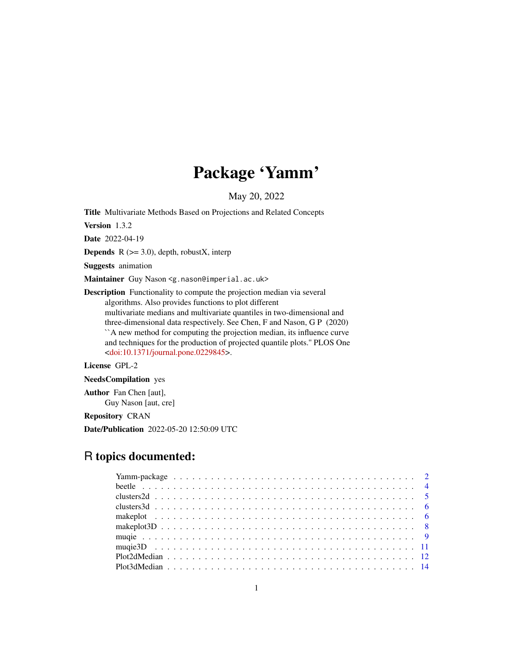# Package 'Yamm'

May 20, 2022

<span id="page-0-0"></span>Title Multivariate Methods Based on Projections and Related Concepts

Version 1.3.2

Date 2022-04-19

**Depends** R  $(>= 3.0)$ , depth, robustX, interp

Suggests animation

Maintainer Guy Nason <g.nason@imperial.ac.uk>

Description Functionality to compute the projection median via several algorithms. Also provides functions to plot different multivariate medians and multivariate quantiles in two-dimensional and three-dimensional data respectively. See Chen, F and Nason, G P (2020) ``A new method for computing the projection median, its influence curve and techniques for the production of projected quantile plots.'' PLOS One [<doi:10.1371/journal.pone.0229845>](https://doi.org/10.1371/journal.pone.0229845).

License GPL-2

NeedsCompilation yes

Author Fan Chen [aut], Guy Nason [aut, cre]

Repository CRAN

Date/Publication 2022-05-20 12:50:09 UTC

# R topics documented: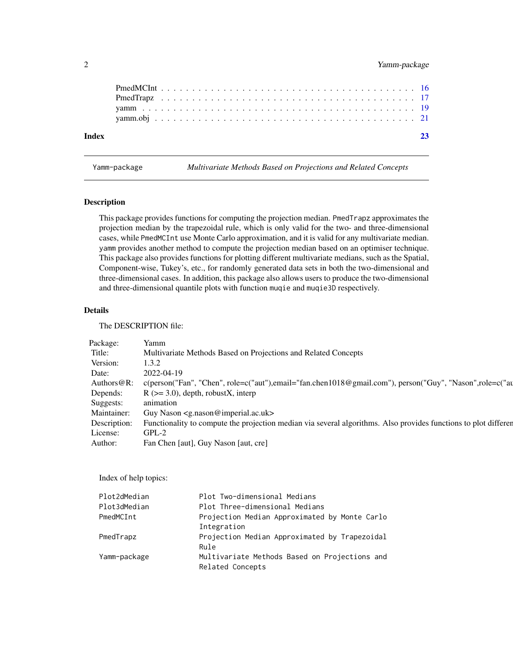# <span id="page-1-0"></span>2 Yamm-package

| Index |  |  |  |  |  |  |  |  |  |  |  |  |  |  |  |  |  |  |  |  | 23 |
|-------|--|--|--|--|--|--|--|--|--|--|--|--|--|--|--|--|--|--|--|--|----|
|       |  |  |  |  |  |  |  |  |  |  |  |  |  |  |  |  |  |  |  |  |    |
|       |  |  |  |  |  |  |  |  |  |  |  |  |  |  |  |  |  |  |  |  |    |
|       |  |  |  |  |  |  |  |  |  |  |  |  |  |  |  |  |  |  |  |  |    |
|       |  |  |  |  |  |  |  |  |  |  |  |  |  |  |  |  |  |  |  |  |    |
|       |  |  |  |  |  |  |  |  |  |  |  |  |  |  |  |  |  |  |  |  |    |

Yamm-package *Multivariate Methods Based on Projections and Related Concepts*

# Description

This package provides functions for computing the projection median. PmedTrapz approximates the projection median by the trapezoidal rule, which is only valid for the two- and three-dimensional cases, while PmedMCInt use Monte Carlo approximation, and it is valid for any multivariate median. yamm provides another method to compute the projection median based on an optimiser technique. This package also provides functions for plotting different multivariate medians, such as the Spatial, Component-wise, Tukey's, etc., for randomly generated data sets in both the two-dimensional and three-dimensional cases. In addition, this package also allows users to produce the two-dimensional and three-dimensional quantile plots with function muqie and muqie3D respectively.

# Details

The DESCRIPTION file:

| Package:            | <b>Example</b>                                                                                                                |
|---------------------|-------------------------------------------------------------------------------------------------------------------------------|
| Title:              | Multivariate Methods Based on Projections and Related Concepts                                                                |
| Version: $1.3.2$    |                                                                                                                               |
| Date:               | 2022-04-19                                                                                                                    |
|                     | Authors@R: c(person("Fan", "Chen", role=c("aut"),email="fan.chen1018@gmail.com"), person("Guy", "Nason",role=c("au            |
|                     | Depends: $R (> = 3.0)$ , depth, robustX, interp                                                                               |
| Suggests: animation |                                                                                                                               |
|                     | Maintainer: Guy Nason <g.nason@imperial.ac.uk></g.nason@imperial.ac.uk>                                                       |
|                     | Description: Functionality to compute the projection median via several algorithms. Also provides functions to plot different |
| License:            | GPL-2                                                                                                                         |
| Author:             | Fan Chen [aut], Guy Nason [aut, cre]                                                                                          |

Index of help topics:

| Plot2dMedian | Plot Two-dimensional Medians                  |
|--------------|-----------------------------------------------|
| Plot3dMedian | Plot Three-dimensional Medians                |
| PmedMCInt    | Projection Median Approximated by Monte Carlo |
|              | Integration                                   |
| PmedTrapz    | Projection Median Approximated by Trapezoidal |
|              | Rule                                          |
| Yamm-package | Multivariate Methods Based on Projections and |
|              | Related Concepts                              |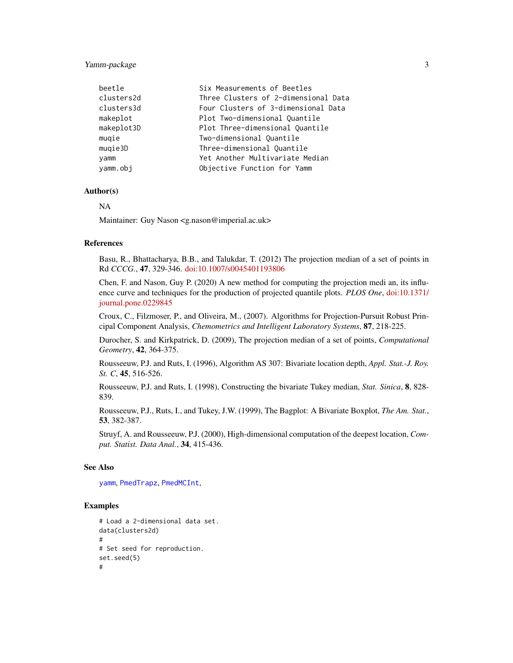# <span id="page-2-0"></span>Yamm-package 3

| beetle     | Six Measurements of Beetles          |
|------------|--------------------------------------|
| clusters2d | Three Clusters of 2-dimensional Data |
| clusters3d | Four Clusters of 3-dimensional Data  |
| makeplot   | Plot Two-dimensional Quantile        |
| makeplot3D | Plot Three-dimensional Quantile      |
| mugie      | Two-dimensional Quantile             |
| mugie3D    | Three-dimensional Quantile           |
| yamm       | Yet Another Multivariate Median      |
| yamm.obj   | Objective Function for Yamm          |

# Author(s)

NA

Maintainer: Guy Nason <g.nason@imperial.ac.uk>

# References

Basu, R., Bhattacharya, B.B., and Talukdar, T. (2012) The projection median of a set of points in Rd *CCCG.*, 47, 329-346. [doi:10.1007/s0045401193806](https://doi.org/10.1007/s00454-011-9380-6)

Chen, F. and Nason, Guy P. (2020) A new method for computing the projection medi an, its influence curve and techniques for the production of projected quantile plots. *PLOS One*, [doi:10.1371/](https://doi.org/10.1371/journal.pone.0229845) [journal.pone.0229845](https://doi.org/10.1371/journal.pone.0229845)

Croux, C., Filzmoser, P., and Oliveira, M., (2007). Algorithms for Projection-Pursuit Robust Principal Component Analysis, *Chemometrics and Intelligent Laboratory Systems*, 87, 218-225.

Durocher, S. and Kirkpatrick, D. (2009), The projection median of a set of points, *Computational Geometry*, 42, 364-375.

Rousseeuw, P.J. and Ruts, I. (1996), Algorithm AS 307: Bivariate location depth, *Appl. Stat.-J. Roy. St. C*, 45, 516-526.

Rousseeuw, P.J. and Ruts, I. (1998), Constructing the bivariate Tukey median, *Stat. Sinica*, 8, 828- 839.

Rousseeuw, P.J., Ruts, I., and Tukey, J.W. (1999), The Bagplot: A Bivariate Boxplot, *The Am. Stat.*, 53, 382-387.

Struyf, A. and Rousseeuw, P.J. (2000), High-dimensional computation of the deepest location, *Comput. Statist. Data Anal.*, 34, 415-436.

# See Also

[yamm](#page-18-1), [PmedTrapz](#page-16-1), [PmedMCInt](#page-15-1),

```
# Load a 2-dimensional data set.
data(clusters2d)
#
# Set seed for reproduction.
set.seed(5)
#
```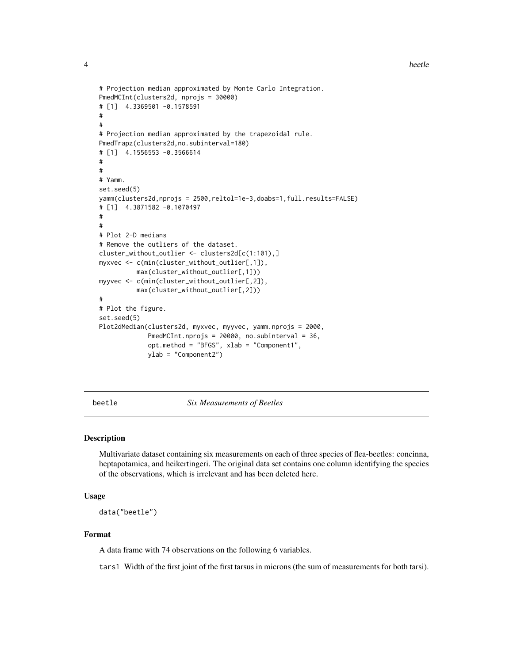4 beetle

```
# Projection median approximated by Monte Carlo Integration.
PmedMCInt(clusters2d, nprojs = 30000)
# [1] 4.3369501 -0.1578591
#
#
# Projection median approximated by the trapezoidal rule.
PmedTrapz(clusters2d,no.subinterval=180)
# [1] 4.1556553 -0.3566614
#
#
# Yamm.
set.seed(5)
yamm(clusters2d,nprojs = 2500,reltol=1e-3,doabs=1,full.results=FALSE)
# [1] 4.3871582 -0.1070497
#
#
# Plot 2-D medians
# Remove the outliers of the dataset.
cluster_without_outlier <- clusters2d[c(1:101),]
myxvec <- c(min(cluster_without_outlier[,1]),
          max(cluster_without_outlier[,1]))
myyvec <- c(min(cluster_without_outlier[,2]),
          max(cluster_without_outlier[,2]))
#
# Plot the figure.
set.seed(5)
Plot2dMedian(clusters2d, myxvec, myyvec, yamm.nprojs = 2000,
             PmedMCInt.nprojs = 20000, no.subinterval = 36,
             opt.method = "BFGS", xlab = "Component1",
             ylab = "Component2")
```
beetle *Six Measurements of Beetles*

#### Description

Multivariate dataset containing six measurements on each of three species of flea-beetles: concinna, heptapotamica, and heikertingeri. The original data set contains one column identifying the species of the observations, which is irrelevant and has been deleted here.

#### Usage

data("beetle")

# Format

A data frame with 74 observations on the following 6 variables.

tars1 Width of the first joint of the first tarsus in microns (the sum of measurements for both tarsi).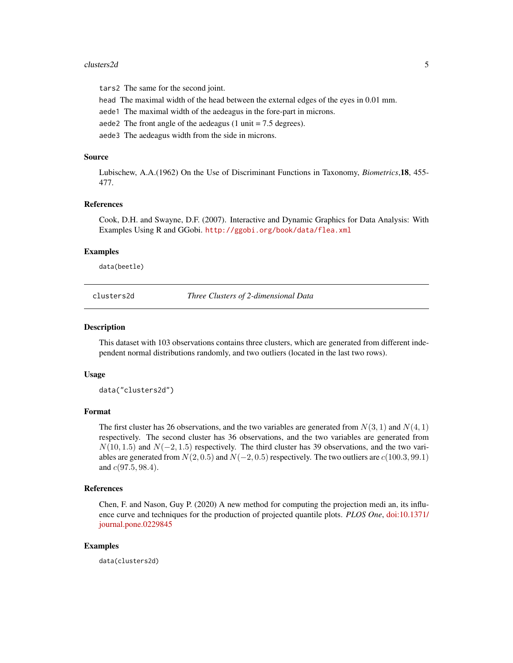#### <span id="page-4-0"></span>clusters2d 5

tars2 The same for the second joint.

head The maximal width of the head between the external edges of the eyes in 0.01 mm.

aede1 The maximal width of the aedeagus in the fore-part in microns.

aede2 The front angle of the aedeagus  $(1 \text{ unit} = 7.5 \text{ degrees})$ .

aede3 The aedeagus width from the side in microns.

# Source

Lubischew, A.A.(1962) On the Use of Discriminant Functions in Taxonomy, *Biometrics*,18, 455- 477.

#### References

Cook, D.H. and Swayne, D.F. (2007). Interactive and Dynamic Graphics for Data Analysis: With Examples Using R and GGobi. <http://ggobi.org/book/data/flea.xml>

#### Examples

data(beetle)

clusters2d *Three Clusters of 2-dimensional Data*

#### Description

This dataset with 103 observations contains three clusters, which are generated from different independent normal distributions randomly, and two outliers (located in the last two rows).

#### Usage

data("clusters2d")

# Format

The first cluster has 26 observations, and the two variables are generated from  $N(3, 1)$  and  $N(4, 1)$ respectively. The second cluster has 36 observations, and the two variables are generated from  $N(10, 1.5)$  and  $N(-2, 1.5)$  respectively. The third cluster has 39 observations, and the two variables are generated from  $N(2, 0.5)$  and  $N(-2, 0.5)$  respectively. The two outliers are  $c(100.3, 99.1)$ and  $c(97.5, 98.4)$ .

# References

Chen, F. and Nason, Guy P. (2020) A new method for computing the projection medi an, its influence curve and techniques for the production of projected quantile plots. *PLOS One*, [doi:10.1371/](https://doi.org/10.1371/journal.pone.0229845) [journal.pone.0229845](https://doi.org/10.1371/journal.pone.0229845)

# Examples

data(clusters2d)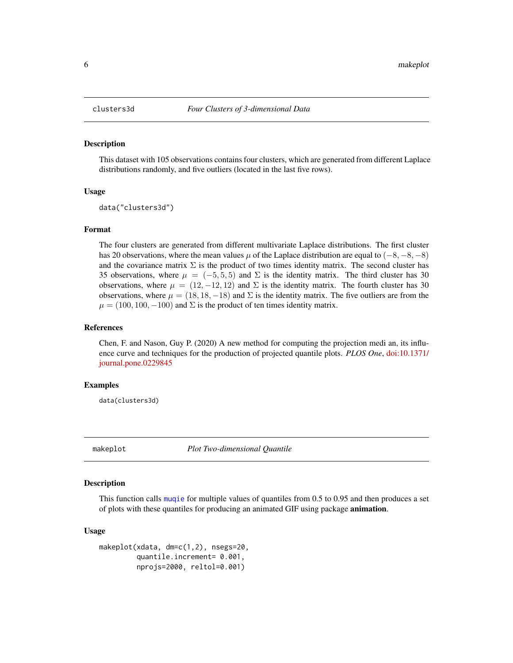#### Description

This dataset with 105 observations contains four clusters, which are generated from different Laplace distributions randomly, and five outliers (located in the last five rows).

# Usage

data("clusters3d")

# Format

The four clusters are generated from different multivariate Laplace distributions. The first cluster has 20 observations, where the mean values  $\mu$  of the Laplace distribution are equal to (−8, −8, −8) and the covariance matrix  $\Sigma$  is the product of two times identity matrix. The second cluster has 35 observations, where  $\mu = (-5, 5, 5)$  and  $\Sigma$  is the identity matrix. The third cluster has 30 observations, where  $\mu = (12, -12, 12)$  and  $\Sigma$  is the identity matrix. The fourth cluster has 30 observations, where  $\mu = (18, 18, -18)$  and  $\Sigma$  is the identity matrix. The five outliers are from the  $\mu = (100, 100, -100)$  and  $\Sigma$  is the product of ten times identity matrix.

# References

Chen, F. and Nason, Guy P. (2020) A new method for computing the projection medi an, its influence curve and techniques for the production of projected quantile plots. *PLOS One*, [doi:10.1371/](https://doi.org/10.1371/journal.pone.0229845) [journal.pone.0229845](https://doi.org/10.1371/journal.pone.0229845)

# Examples

data(clusters3d)

makeplot *Plot Two-dimensional Quantile*

# Description

This function calls [muqie](#page-8-1) for multiple values of quantiles from 0.5 to 0.95 and then produces a set of plots with these quantiles for producing an animated GIF using package **animation**.

#### Usage

```
makeplot(xdata, dm=c(1,2), nsegs=20,
         quantile.increment= 0.001,
         nprojs=2000, reltol=0.001)
```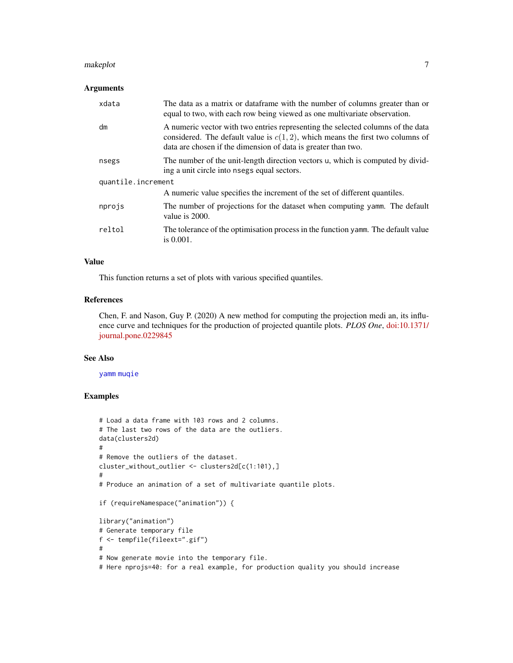#### <span id="page-6-0"></span>makeplot **7**

# Arguments

| xdata              | The data as a matrix or dataframe with the number of columns greater than or<br>equal to two, with each row being viewed as one multivariate observation.                                                                            |
|--------------------|--------------------------------------------------------------------------------------------------------------------------------------------------------------------------------------------------------------------------------------|
| dm                 | A numeric vector with two entries representing the selected columns of the data<br>considered. The default value is $c(1,2)$ , which means the first two columns of<br>data are chosen if the dimension of data is greater than two. |
| nsegs              | The number of the unit-length direction vectors u, which is computed by divid-<br>ing a unit circle into nsegs equal sectors.                                                                                                        |
| quantile.increment |                                                                                                                                                                                                                                      |
|                    | A numeric value specifies the increment of the set of different quantiles.                                                                                                                                                           |
| nprojs             | The number of projections for the dataset when computing yamm. The default<br>value is 2000.                                                                                                                                         |
| reltol             | The tolerance of the optimisation process in the function yamm. The default value<br>is $0.001$ .                                                                                                                                    |

# Value

This function returns a set of plots with various specified quantiles.

# References

Chen, F. and Nason, Guy P. (2020) A new method for computing the projection medi an, its influence curve and techniques for the production of projected quantile plots. *PLOS One*, [doi:10.1371/](https://doi.org/10.1371/journal.pone.0229845) [journal.pone.0229845](https://doi.org/10.1371/journal.pone.0229845)

# See Also

[yamm](#page-18-1) [muqie](#page-8-1)

```
# Load a data frame with 103 rows and 2 columns.
# The last two rows of the data are the outliers.
data(clusters2d)
#
# Remove the outliers of the dataset.
cluster_without_outlier <- clusters2d[c(1:101),]
#
# Produce an animation of a set of multivariate quantile plots.
if (requireNamespace("animation")) {
library("animation")
# Generate temporary file
f <- tempfile(fileext=".gif")
#
# Now generate movie into the temporary file.
# Here nprojs=40: for a real example, for production quality you should increase
```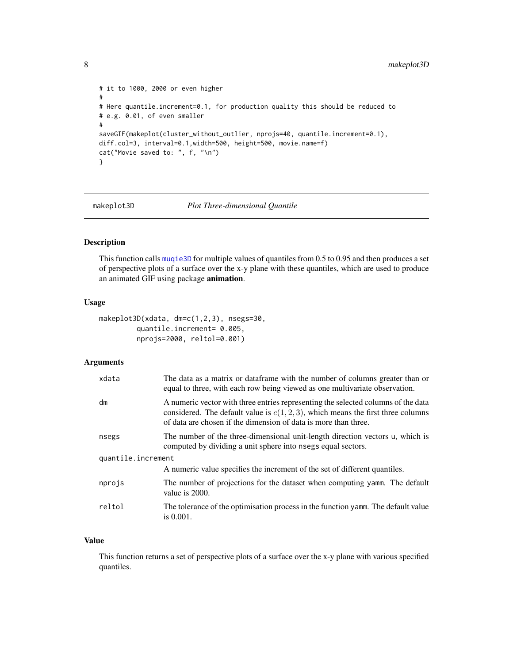```
# it to 1000, 2000 or even higher
#
# Here quantile.increment=0.1, for production quality this should be reduced to
# e.g. 0.01, of even smaller
#
saveGIF(makeplot(cluster_without_outlier, nprojs=40, quantile.increment=0.1),
diff.col=3, interval=0.1, width=500, height=500, movie.name=f)
cat("Movie saved to: ", f, "\n")
}
```
# makeplot3D *Plot Three-dimensional Quantile*

# Description

This function calls [muqie3D](#page-10-1) for multiple values of quantiles from 0.5 to 0.95 and then produces a set of perspective plots of a surface over the x-y plane with these quantiles, which are used to produce an animated GIF using package animation.

#### Usage

```
makeplot3D(xdata, dm=c(1,2,3), nsegs=30,
         quantile.increment= 0.005,
         nprojs=2000, reltol=0.001)
```
# Arguments

| xdata              | The data as a matrix or dataframe with the number of columns greater than or<br>equal to three, with each row being viewed as one multivariate observation.                                                                                 |
|--------------------|---------------------------------------------------------------------------------------------------------------------------------------------------------------------------------------------------------------------------------------------|
| dm                 | A numeric vector with three entries representing the selected columns of the data<br>considered. The default value is $c(1, 2, 3)$ , which means the first three columns<br>of data are chosen if the dimension of data is more than three. |
| nsegs              | The number of the three-dimensional unit-length direction vectors u, which is<br>computed by dividing a unit sphere into nsegs equal sectors.                                                                                               |
| quantile.increment |                                                                                                                                                                                                                                             |
|                    | A numeric value specifies the increment of the set of different quantiles.                                                                                                                                                                  |
| nprojs             | The number of projections for the dataset when computing yamm. The default<br>value is 2000.                                                                                                                                                |
| reltol             | The tolerance of the optimisation process in the function yamm. The default value<br>is $0.001$ .                                                                                                                                           |

# Value

This function returns a set of perspective plots of a surface over the x-y plane with various specified quantiles.

<span id="page-7-0"></span>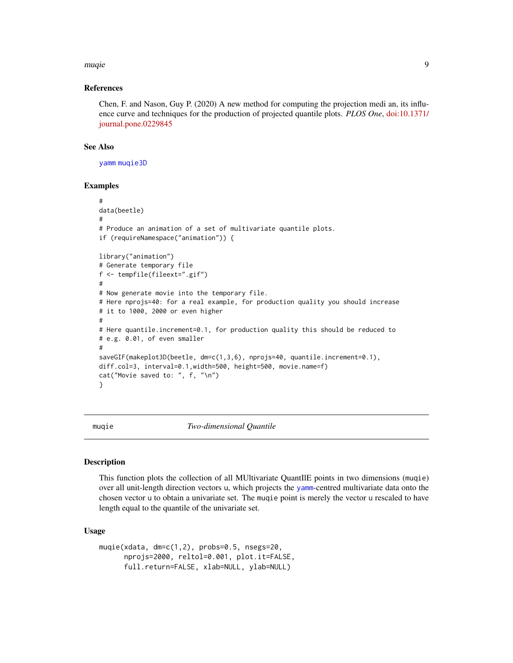#### <span id="page-8-0"></span>muqie 90 de est est en la construction de la construction de la construction de la construction de la construction de la construction de la construction de la construction de la construction de la construction de la constr

# References

Chen, F. and Nason, Guy P. (2020) A new method for computing the projection medi an, its influence curve and techniques for the production of projected quantile plots. *PLOS One*, [doi:10.1371/](https://doi.org/10.1371/journal.pone.0229845) [journal.pone.0229845](https://doi.org/10.1371/journal.pone.0229845)

# See Also

[yamm](#page-18-1) [muqie3D](#page-10-1)

# Examples

```
#
data(beetle)
#
# Produce an animation of a set of multivariate quantile plots.
if (requireNamespace("animation")) {
library("animation")
# Generate temporary file
f <- tempfile(fileext=".gif")
#
# Now generate movie into the temporary file.
# Here nprojs=40: for a real example, for production quality you should increase
# it to 1000, 2000 or even higher
#
# Here quantile.increment=0.1, for production quality this should be reduced to
# e.g. 0.01, of even smaller
#
saveGIF(makeplot3D(beetle, dm=c(1,3,6), nprojs=40, quantile.increment=0.1),
diff.col=3, interval=0.1,width=500, height=500, movie.name=f)
cat("Movie saved to: ", f, "\n")
}
```
<span id="page-8-1"></span>

#### muqie *Two-dimensional Quantile*

#### Description

This function plots the collection of all MUltivariate QuantIlE points in two dimensions (muqie) over all unit-length direction vectors u, which projects the [yamm](#page-18-1)-centred multivariate data onto the chosen vector u to obtain a univariate set. The muqie point is merely the vector u rescaled to have length equal to the quantile of the univariate set.

#### Usage

```
muqie(xdata, dm=c(1,2), probs=0.5, nsegs=20,
     nprojs=2000, reltol=0.001, plot.it=FALSE,
     full.return=FALSE, xlab=NULL, ylab=NULL)
```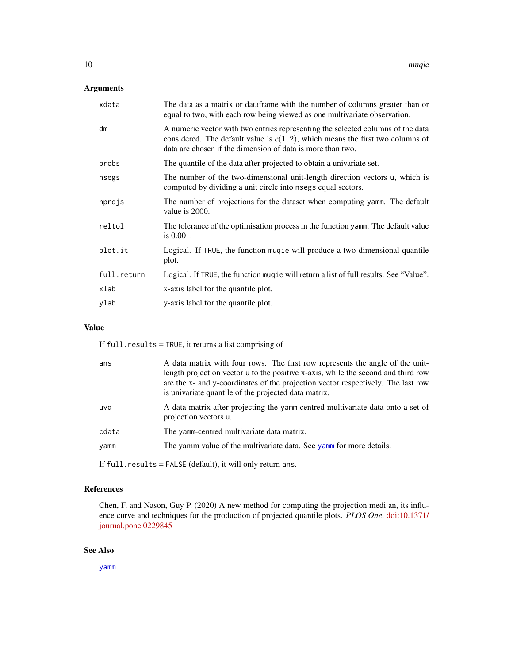# Arguments

| xdata       | The data as a matrix or dataframe with the number of columns greater than or<br>equal to two, with each row being viewed as one multivariate observation.                                                                         |
|-------------|-----------------------------------------------------------------------------------------------------------------------------------------------------------------------------------------------------------------------------------|
| dm          | A numeric vector with two entries representing the selected columns of the data<br>considered. The default value is $c(1,2)$ , which means the first two columns of<br>data are chosen if the dimension of data is more than two. |
| probs       | The quantile of the data after projected to obtain a univariate set.                                                                                                                                                              |
| nsegs       | The number of the two-dimensional unit-length direction vectors u, which is<br>computed by dividing a unit circle into nsegs equal sectors.                                                                                       |
| nprojs      | The number of projections for the dataset when computing yamm. The default<br>value is 2000.                                                                                                                                      |
| reltol      | The tolerance of the optimisation process in the function yamm. The default value<br>is $0.001$ .                                                                                                                                 |
| plot.it     | Logical. If TRUE, the function mugie will produce a two-dimensional quantile<br>plot.                                                                                                                                             |
| full.return | Logical. If TRUE, the function mugie will return a list of full results. See "Value".                                                                                                                                             |
| xlab        | x-axis label for the quantile plot.                                                                                                                                                                                               |
| ylab        | y-axis label for the quantile plot.                                                                                                                                                                                               |

# Value

If full.results = TRUE, it returns a list comprising of

| ans   | A data matrix with four rows. The first row represents the angle of the unit-<br>length projection vector u to the positive x-axis, while the second and third row<br>are the x- and y-coordinates of the projection vector respectively. The last row<br>is univariate quantile of the projected data matrix. |
|-------|----------------------------------------------------------------------------------------------------------------------------------------------------------------------------------------------------------------------------------------------------------------------------------------------------------------|
| uvd   | A data matrix after projecting the yamm-centred multivariate data onto a set of<br>projection vectors u.                                                                                                                                                                                                       |
| cdata | The yamm-centred multivariate data matrix.                                                                                                                                                                                                                                                                     |
| yamm  | The yamm value of the multivariate data. See yamm for more details.                                                                                                                                                                                                                                            |
|       |                                                                                                                                                                                                                                                                                                                |

If full.results = FALSE (default), it will only return ans.

# References

Chen, F. and Nason, Guy P. (2020) A new method for computing the projection medi an, its influence curve and techniques for the production of projected quantile plots. *PLOS One*, [doi:10.1371/](https://doi.org/10.1371/journal.pone.0229845) [journal.pone.0229845](https://doi.org/10.1371/journal.pone.0229845)

# See Also

[yamm](#page-18-1)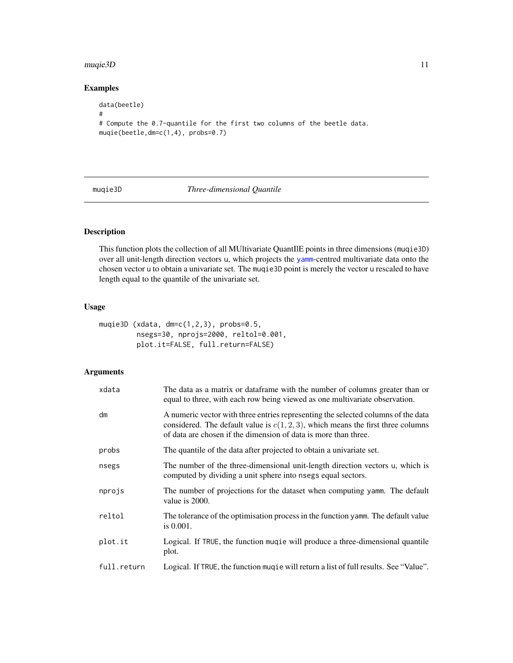#### <span id="page-10-0"></span> $m$ uqie $3D$  11

# Examples

```
data(beetle)
#
# Compute the 0.7-quantile for the first two columns of the beetle data.
muqie(beetle,dm=c(1,4), probs=0.7)
```
<span id="page-10-1"></span>muqie3D *Three-dimensional Quantile*

# Description

This function plots the collection of all MUltivariate QuantIlE points in three dimensions (muqie3D) over all unit-length direction vectors u, which projects the [yamm](#page-18-1)-centred multivariate data onto the chosen vector u to obtain a univariate set. The muqie3D point is merely the vector u rescaled to have length equal to the quantile of the univariate set.

# Usage

```
muqie3D (xdata, dm=c(1,2,3), probs=0.5,
         nsegs=30, nprojs=2000, reltol=0.001,
         plot.it=FALSE, full.return=FALSE)
```
# Arguments

| xdata       | The data as a matrix or dataframe with the number of columns greater than or<br>equal to three, with each row being viewed as one multivariate observation.                                                                                 |
|-------------|---------------------------------------------------------------------------------------------------------------------------------------------------------------------------------------------------------------------------------------------|
| dm          | A numeric vector with three entries representing the selected columns of the data<br>considered. The default value is $c(1, 2, 3)$ , which means the first three columns<br>of data are chosen if the dimension of data is more than three. |
| probs       | The quantile of the data after projected to obtain a univariate set.                                                                                                                                                                        |
| nsegs       | The number of the three-dimensional unit-length direction vectors u, which is<br>computed by dividing a unit sphere into nsegs equal sectors.                                                                                               |
| nprojs      | The number of projections for the dataset when computing yamm. The default<br>value is 2000.                                                                                                                                                |
| reltol      | The tolerance of the optimisation process in the function yamm. The default value<br>is $0.001$ .                                                                                                                                           |
| plot.it     | Logical. If TRUE, the function muque will produce a three-dimensional quantile<br>plot.                                                                                                                                                     |
| full.return | Logical. If TRUE, the function mugie will return a list of full results. See "Value".                                                                                                                                                       |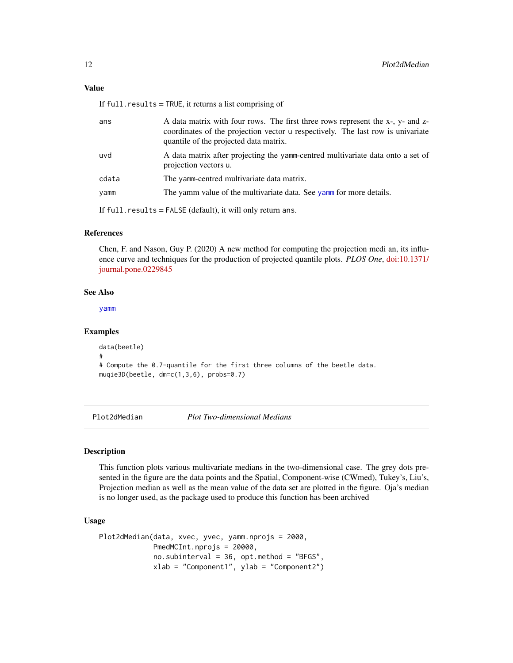# <span id="page-11-0"></span>Value

If full.results = TRUE, it returns a list comprising of

| ans   | A data matrix with four rows. The first three rows represent the x-, y- and z-<br>coordinates of the projection vector u respectively. The last row is univariate<br>quantile of the projected data matrix. |
|-------|-------------------------------------------------------------------------------------------------------------------------------------------------------------------------------------------------------------|
| uvd   | A data matrix after projecting the yamm-centred multivariate data onto a set of<br>projection vectors u.                                                                                                    |
| cdata | The yamm-centred multivariate data matrix.                                                                                                                                                                  |
| yamm  | The yamm value of the multivariate data. See yamm for more details.                                                                                                                                         |
|       | If $full$ results = $FALSE$ (default), it will only return ans.                                                                                                                                             |

# References

Chen, F. and Nason, Guy P. (2020) A new method for computing the projection medi an, its influence curve and techniques for the production of projected quantile plots. *PLOS One*, [doi:10.1371/](https://doi.org/10.1371/journal.pone.0229845) [journal.pone.0229845](https://doi.org/10.1371/journal.pone.0229845)

#### See Also

[yamm](#page-18-1)

# Examples

```
data(beetle)
#
# Compute the 0.7-quantile for the first three columns of the beetle data.
muqie3D(beetle, dm=c(1,3,6), probs=0.7)
```
Plot2dMedian *Plot Two-dimensional Medians*

# Description

This function plots various multivariate medians in the two-dimensional case. The grey dots presented in the figure are the data points and the Spatial, Component-wise (CWmed), Tukey's, Liu's, Projection median as well as the mean value of the data set are plotted in the figure. Oja's median is no longer used, as the package used to produce this function has been archived

#### Usage

```
Plot2dMedian(data, xvec, yvec, yamm.nprojs = 2000,
            PmedMCInt.nprojs = 20000,
             no.subinterval = 36, opt.method = "BFGS",
             xlab = "Component1", ylab = "Component2")
```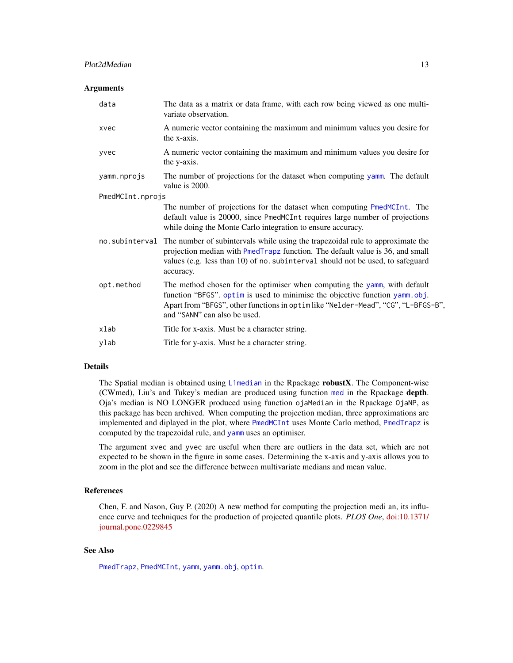# <span id="page-12-0"></span>Plot2dMedian 13

#### **Arguments**

| variate observation.                                                                                                                                                                                                                                                                        |
|---------------------------------------------------------------------------------------------------------------------------------------------------------------------------------------------------------------------------------------------------------------------------------------------|
| A numeric vector containing the maximum and minimum values you desire for<br>xvec<br>the x-axis.                                                                                                                                                                                            |
| A numeric vector containing the maximum and minimum values you desire for<br>yvec<br>the y-axis.                                                                                                                                                                                            |
| The number of projections for the dataset when computing yamm. The default<br>yamm.nprojs<br>value is 2000.                                                                                                                                                                                 |
| PmedMCInt.nprojs                                                                                                                                                                                                                                                                            |
| The number of projections for the dataset when computing PmedMCInt. The<br>default value is 20000, since PmedMCInt requires large number of projections<br>while doing the Monte Carlo integration to ensure accuracy.                                                                      |
| no. subinterval The number of subintervals while using the trapezoidal rule to approximate the<br>projection median with PmedTrapz function. The default value is 36, and small<br>values (e.g. less than 10) of no. subinterval should not be used, to safeguard<br>accuracy.              |
| The method chosen for the optimiser when computing the yamm, with default<br>opt.method<br>function "BFGS". optim is used to minimise the objective function yamm.obj.<br>Apart from "BFGS", other functions in optim like "Nelder-Mead", "CG", "L-BFGS-B",<br>and "SANN" can also be used. |
| xlab<br>Title for x-axis. Must be a character string.                                                                                                                                                                                                                                       |
| Title for y-axis. Must be a character string.<br>ylab                                                                                                                                                                                                                                       |

# Details

The Spatial median is obtained using [L1median](#page-0-0) in the Rpackage robustX. The Component-wise (CWmed), Liu's and Tukey's median are produced using function [med](#page-0-0) in the Rpackage depth. Oja's median is NO LONGER produced using function ojaMedian in the Rpackage OjaNP, as this package has been archived. When computing the projection median, three approximations are implemented and diplayed in the plot, where [PmedMCInt](#page-15-1) uses Monte Carlo method, [PmedTrapz](#page-16-1) is computed by the trapezoidal rule, and [yamm](#page-18-1) uses an optimiser.

The argument xvec and yvec are useful when there are outliers in the data set, which are not expected to be shown in the figure in some cases. Determining the x-axis and y-axis allows you to zoom in the plot and see the difference between multivariate medians and mean value.

# References

Chen, F. and Nason, Guy P. (2020) A new method for computing the projection medi an, its influence curve and techniques for the production of projected quantile plots. *PLOS One*, [doi:10.1371/](https://doi.org/10.1371/journal.pone.0229845) [journal.pone.0229845](https://doi.org/10.1371/journal.pone.0229845)

# See Also

[PmedTrapz](#page-16-1), [PmedMCInt](#page-15-1), [yamm](#page-18-1), [yamm.obj](#page-20-1), [optim](#page-0-0).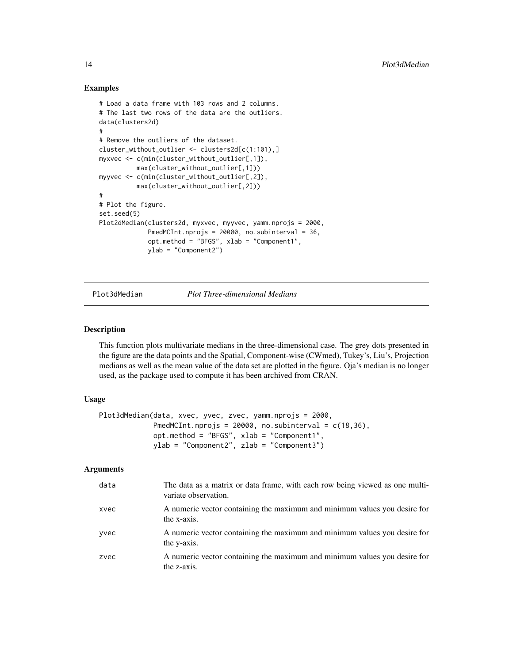# Examples

```
# Load a data frame with 103 rows and 2 columns.
# The last two rows of the data are the outliers.
data(clusters2d)
#
# Remove the outliers of the dataset.
cluster_without_outlier <- clusters2d[c(1:101),]
myxvec <- c(min(cluster_without_outlier[,1]),
          max(cluster_without_outlier[,1]))
myyvec <- c(min(cluster_without_outlier[,2]),
          max(cluster_without_outlier[,2]))
#
# Plot the figure.
set.seed(5)
Plot2dMedian(clusters2d, myxvec, myyvec, yamm.nprojs = 2000,
             PmedMCInt.nprojs = 20000, no.subinterval = 36,
             opt.method = "BFGS", xlab = "Component1",
             ylab = "Component2")
```
Plot3dMedian *Plot Three-dimensional Medians*

#### Description

This function plots multivariate medians in the three-dimensional case. The grey dots presented in the figure are the data points and the Spatial, Component-wise (CWmed), Tukey's, Liu's, Projection medians as well as the mean value of the data set are plotted in the figure. Oja's median is no longer used, as the package used to compute it has been archived from CRAN.

#### Usage

```
Plot3dMedian(data, xvec, yvec, zvec, yamm.nprojs = 2000,
            PmedMCInt.nprojs = 20000, no.subinterval = c(18,36),
             opt.method = "BFGS", xlab = "Component1",
             ylab = "Component2", zlab = "Component3")
```
# Arguments

| data | The data as a matrix or data frame, with each row being viewed as one multi-<br>variate observation. |
|------|------------------------------------------------------------------------------------------------------|
| xvec | A numeric vector containing the maximum and minimum values you desire for<br>the x-axis.             |
| yvec | A numeric vector containing the maximum and minimum values you desire for<br>the y-axis.             |
| zvec | A numeric vector containing the maximum and minimum values you desire for<br>the z-axis.             |

<span id="page-13-0"></span>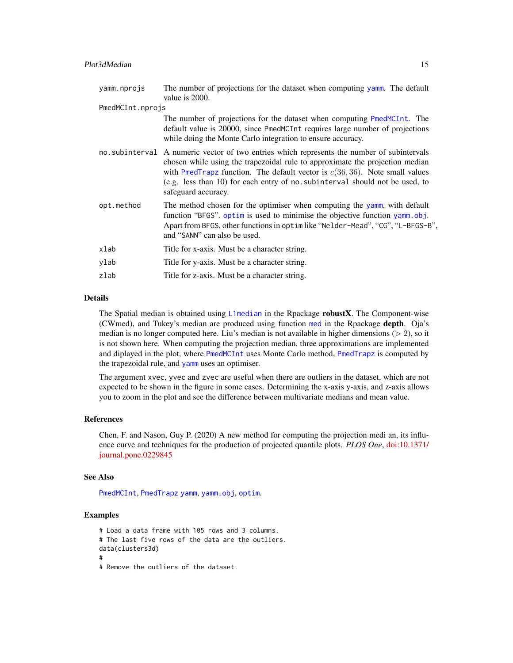<span id="page-14-0"></span>

| yamm.nprojs      | The number of projections for the dataset when computing yamm. The default<br>value is 2000.                                                                                                                                                                                                                                                                        |
|------------------|---------------------------------------------------------------------------------------------------------------------------------------------------------------------------------------------------------------------------------------------------------------------------------------------------------------------------------------------------------------------|
| PmedMCInt.nprojs |                                                                                                                                                                                                                                                                                                                                                                     |
|                  | The number of projections for the dataset when computing PmedMCInt. The<br>default value is 20000, since PmedMCInt requires large number of projections<br>while doing the Monte Carlo integration to ensure accuracy.                                                                                                                                              |
|                  | no subinterval A numeric vector of two entries which represents the number of subintervals<br>chosen while using the trapezoidal rule to approximate the projection median<br>with PmedTrapz function. The default vector is $c(36, 36)$ . Note small values<br>(e.g. less than 10) for each entry of no. subinterval should not be used, to<br>safeguard accuracy. |
| opt.method       | The method chosen for the optimiser when computing the yamm, with default<br>function "BFGS", optim is used to minimise the objective function yamm.obj.<br>Apart from BFGS, other functions in optimilike "Nelder-Mead", "CG", "L-BFGS-B",<br>and "SANN" can also be used.                                                                                         |
| xlab             | Title for x-axis. Must be a character string.                                                                                                                                                                                                                                                                                                                       |
| ylab             | Title for y-axis. Must be a character string.                                                                                                                                                                                                                                                                                                                       |
| zlab             | Title for z-axis. Must be a character string.                                                                                                                                                                                                                                                                                                                       |

#### Details

The Spatial median is obtained using [L1median](#page-0-0) in the Rpackage robustX. The Component-wise (CWmed), and Tukey's median are produced using function [med](#page-0-0) in the Rpackage depth. Oja's median is no longer computed here. Liu's median is not available in higher dimensions ( $> 2$ ), so it is not shown here. When computing the projection median, three approximations are implemented and diplayed in the plot, where [PmedMCInt](#page-15-1) uses Monte Carlo method, [PmedTrapz](#page-16-1) is computed by the trapezoidal rule, and [yamm](#page-18-1) uses an optimiser.

The argument xvec, yvec and zvec are useful when there are outliers in the dataset, which are not expected to be shown in the figure in some cases. Determining the x-axis y-axis, and z-axis allows you to zoom in the plot and see the difference between multivariate medians and mean value.

#### References

Chen, F. and Nason, Guy P. (2020) A new method for computing the projection medi an, its influence curve and techniques for the production of projected quantile plots. *PLOS One*, [doi:10.1371/](https://doi.org/10.1371/journal.pone.0229845) [journal.pone.0229845](https://doi.org/10.1371/journal.pone.0229845)

# See Also

[PmedMCInt](#page-15-1), [PmedTrapz](#page-16-1) [yamm](#page-18-1), [yamm.obj](#page-20-1), [optim](#page-0-0).

```
# Load a data frame with 105 rows and 3 columns.
# The last five rows of the data are the outliers.
data(clusters3d)
#
# Remove the outliers of the dataset.
```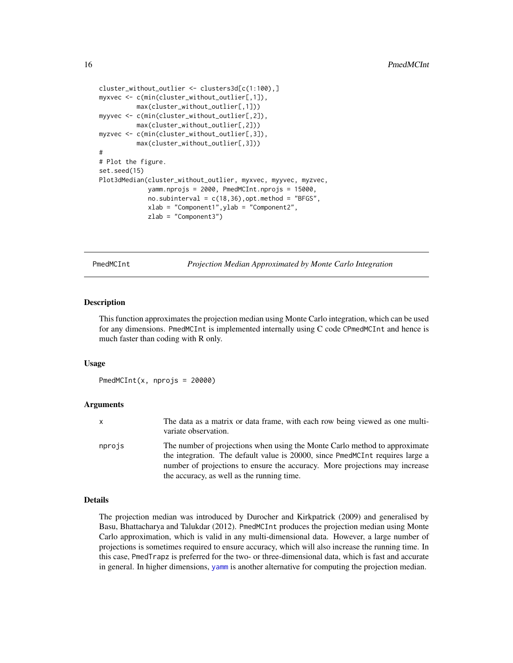```
cluster_without_outlier <- clusters3d[c(1:100),]
myxvec <- c(min(cluster_without_outlier[,1]),
          max(cluster_without_outlier[,1]))
myyvec <- c(min(cluster_without_outlier[,2]),
         max(cluster_without_outlier[,2]))
myzvec <- c(min(cluster_without_outlier[,3]),
         max(cluster_without_outlier[,3]))
#
# Plot the figure.
set.seed(15)
Plot3dMedian(cluster_without_outlier, myxvec, myyvec, myzvec,
             yamm.nprojs = 2000, PmedMCInt.nprojs = 15000,
             no.subinterval = c(18,36), opt.method = "BFGS",xlab = "Component1",ylab = "Component2",
             zlab = "Component3")
```
<span id="page-15-1"></span>PmedMCInt *Projection Median Approximated by Monte Carlo Integration*

#### **Description**

This function approximates the projection median using Monte Carlo integration, which can be used for any dimensions. PmedMCInt is implemented internally using C code CPmedMCInt and hence is much faster than coding with R only.

# Usage

PmedMCInt(x, nprojs = 20000)

# Arguments

| x      | The data as a matrix or data frame, with each row being viewed as one multi-<br>variate observation.                                                                                                                                                                                     |
|--------|------------------------------------------------------------------------------------------------------------------------------------------------------------------------------------------------------------------------------------------------------------------------------------------|
| nprojs | The number of projections when using the Monte Carlo method to approximate<br>the integration. The default value is 20000, since PmedMCInt requires large a<br>number of projections to ensure the accuracy. More projections may increase<br>the accuracy, as well as the running time. |

# Details

The projection median was introduced by Durocher and Kirkpatrick (2009) and generalised by Basu, Bhattacharya and Talukdar (2012). PmedMCInt produces the projection median using Monte Carlo approximation, which is valid in any multi-dimensional data. However, a large number of projections is sometimes required to ensure accuracy, which will also increase the running time. In this case, PmedTrapz is preferred for the two- or three-dimensional data, which is fast and accurate in general. In higher dimensions, [yamm](#page-18-1) is another alternative for computing the projection median.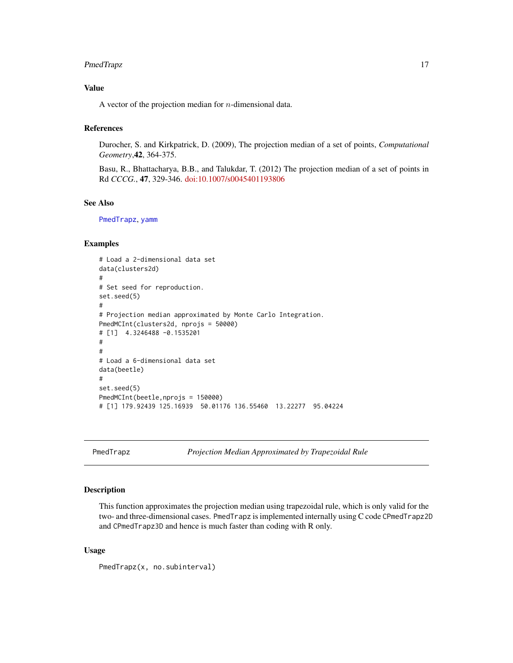# <span id="page-16-0"></span>PmedTrapz 17

# Value

A vector of the projection median for  $n$ -dimensional data.

# References

Durocher, S. and Kirkpatrick, D. (2009), The projection median of a set of points, *Computational Geometry*,42, 364-375.

Basu, R., Bhattacharya, B.B., and Talukdar, T. (2012) The projection median of a set of points in Rd *CCCG.*, 47, 329-346. [doi:10.1007/s0045401193806](https://doi.org/10.1007/s00454-011-9380-6)

# See Also

[PmedTrapz](#page-16-1), [yamm](#page-18-1)

# Examples

```
# Load a 2-dimensional data set
data(clusters2d)
#
# Set seed for reproduction.
set.seed(5)
#
# Projection median approximated by Monte Carlo Integration.
PmedMCInt(clusters2d, nprojs = 50000)
# [1] 4.3246488 -0.1535201
#
#
# Load a 6-dimensional data set
data(beetle)
#
set.seed(5)
PmedMCInt(beetle,nprojs = 150000)
# [1] 179.92439 125.16939 50.01176 136.55460 13.22277 95.04224
```
<span id="page-16-1"></span>PmedTrapz *Projection Median Approximated by Trapezoidal Rule*

# Description

This function approximates the projection median using trapezoidal rule, which is only valid for the two- and three-dimensional cases. PmedTrapz is implemented internally using C code CPmedTrapz2D and CPmedTrapz3D and hence is much faster than coding with R only.

# Usage

```
PmedTrapz(x, no.subinterval)
```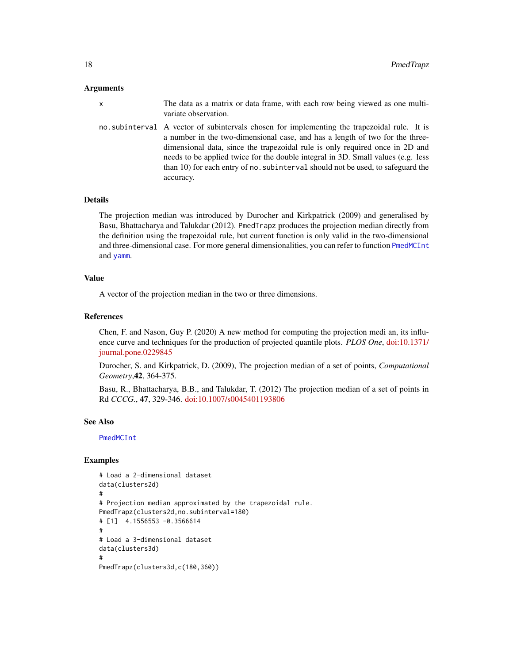### <span id="page-17-0"></span>Arguments

x The data as a matrix or data frame, with each row being viewed as one multivariate observation.

no.subinterval A vector of subintervals chosen for implementing the trapezoidal rule. It is a number in the two-dimensional case, and has a length of two for the threedimensional data, since the trapezoidal rule is only required once in 2D and needs to be applied twice for the double integral in 3D. Small values (e.g. less than 10) for each entry of no.subinterval should not be used, to safeguard the accuracy.

# Details

The projection median was introduced by Durocher and Kirkpatrick (2009) and generalised by Basu, Bhattacharya and Talukdar (2012). PmedTrapz produces the projection median directly from the definition using the trapezoidal rule, but current function is only valid in the two-dimensional and three-dimensional case. For more general dimensionalities, you can refer to function [PmedMCInt](#page-15-1) and [yamm](#page-18-1).

#### Value

A vector of the projection median in the two or three dimensions.

# References

Chen, F. and Nason, Guy P. (2020) A new method for computing the projection medi an, its influence curve and techniques for the production of projected quantile plots. *PLOS One*, [doi:10.1371/](https://doi.org/10.1371/journal.pone.0229845) [journal.pone.0229845](https://doi.org/10.1371/journal.pone.0229845)

Durocher, S. and Kirkpatrick, D. (2009), The projection median of a set of points, *Computational Geometry*,42, 364-375.

Basu, R., Bhattacharya, B.B., and Talukdar, T. (2012) The projection median of a set of points in Rd *CCCG.*, 47, 329-346. [doi:10.1007/s0045401193806](https://doi.org/10.1007/s00454-011-9380-6)

#### See Also

[PmedMCInt](#page-15-1)

```
# Load a 2-dimensional dataset
data(clusters2d)
#
# Projection median approximated by the trapezoidal rule.
PmedTrapz(clusters2d,no.subinterval=180)
# [1] 4.1556553 -0.3566614
#
# Load a 3-dimensional dataset
data(clusters3d)
#
PmedTrapz(clusters3d,c(180,360))
```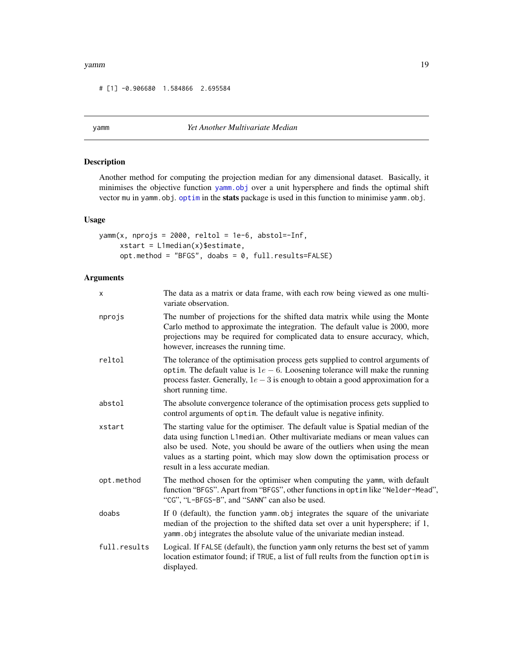#### <span id="page-18-0"></span>yamm 19

# [1] -0.906680 1.584866 2.695584

# <span id="page-18-1"></span>yamm *Yet Another Multivariate Median*

# Description

Another method for computing the projection median for any dimensional dataset. Basically, it minimises the objective function [yamm.obj](#page-20-1) over a unit hypersphere and finds the optimal shift vector mu in yamm.obj. [optim](#page-0-0) in the stats package is used in this function to minimise yamm.obj.

# Usage

```
yamm(x, nprojs = 2000, reltol = 1e-6, abstol =- Inf,
     xstart = L1median(x)$estimate,
     opt.method = "BFGS", doabs = 0, full.results=FALSE)
```
# Arguments

| x            | The data as a matrix or data frame, with each row being viewed as one multi-<br>variate observation.                                                                                                                                                                                                                                                               |
|--------------|--------------------------------------------------------------------------------------------------------------------------------------------------------------------------------------------------------------------------------------------------------------------------------------------------------------------------------------------------------------------|
| nprojs       | The number of projections for the shifted data matrix while using the Monte<br>Carlo method to approximate the integration. The default value is 2000, more<br>projections may be required for complicated data to ensure accuracy, which,<br>however, increases the running time.                                                                                 |
| reltol       | The tolerance of the optimisation process gets supplied to control arguments of<br>optim. The default value is $1e-6$ . Loosening tolerance will make the running<br>process faster. Generally, $1e-3$ is enough to obtain a good approximation for a<br>short running time.                                                                                       |
| abstol       | The absolute convergence tolerance of the optimisation process gets supplied to<br>control arguments of optim. The default value is negative infinity.                                                                                                                                                                                                             |
| xstart       | The starting value for the optimiser. The default value is Spatial median of the<br>data using function L1median. Other multivariate medians or mean values can<br>also be used. Note, you should be aware of the outliers when using the mean<br>values as a starting point, which may slow down the optimisation process or<br>result in a less accurate median. |
| opt.method   | The method chosen for the optimiser when computing the yamm, with default<br>function "BFGS". Apart from "BFGS", other functions in optim like "Nelder-Mead",<br>"CG", "L-BFGS-B", and "SANN" can also be used.                                                                                                                                                    |
| doabs        | If 0 (default), the function yamm obj integrates the square of the univariate<br>median of the projection to the shifted data set over a unit hypersphere; if 1,<br>yamm obj integrates the absolute value of the univariate median instead.                                                                                                                       |
| full.results | Logical. If FALSE (default), the function yamm only returns the best set of yamm<br>location estimator found; if TRUE, a list of full reults from the function optim is<br>displayed.                                                                                                                                                                              |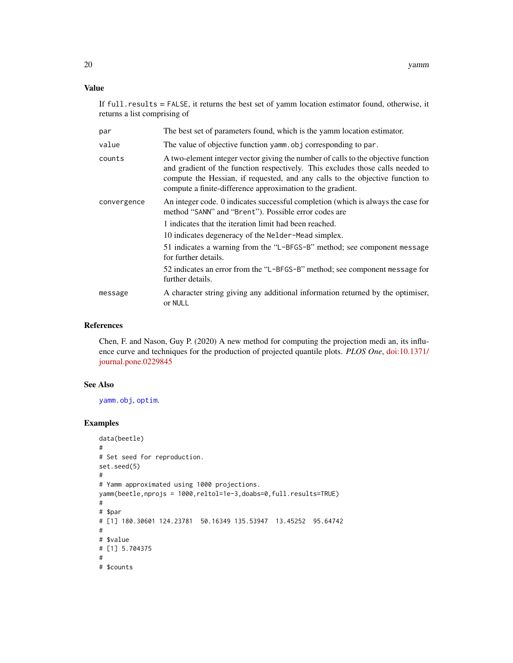# <span id="page-19-0"></span>Value

If full.results = FALSE, it returns the best set of yamm location estimator found, otherwise, it returns a list comprising of

| par         | The best set of parameters found, which is the yamm location estimator.                                                                                                                                                                                                                                            |
|-------------|--------------------------------------------------------------------------------------------------------------------------------------------------------------------------------------------------------------------------------------------------------------------------------------------------------------------|
| value       | The value of objective function yamm. obj corresponding to par.                                                                                                                                                                                                                                                    |
| counts      | A two-element integer vector giving the number of calls to the objective function<br>and gradient of the function respectively. This excludes those calls needed to<br>compute the Hessian, if requested, and any calls to the objective function to<br>compute a finite-difference approximation to the gradient. |
| convergence | An integer code. 0 indicates successful completion (which is always the case for<br>method "SANN" and "Brent"). Possible error codes are                                                                                                                                                                           |
|             | 1 indicates that the iteration limit had been reached.                                                                                                                                                                                                                                                             |
|             | 10 indicates degeneracy of the Nelder-Mead simplex.                                                                                                                                                                                                                                                                |
|             | 51 indicates a warning from the "L-BFGS-B" method; see component message<br>for further details.                                                                                                                                                                                                                   |
|             | 52 indicates an error from the "L-BFGS-B" method; see component message for<br>further details.                                                                                                                                                                                                                    |
| message     | A character string giving any additional information returned by the optimiser,<br>or NULL                                                                                                                                                                                                                         |

# References

Chen, F. and Nason, Guy P. (2020) A new method for computing the projection medi an, its influence curve and techniques for the production of projected quantile plots. *PLOS One*, [doi:10.1371/](https://doi.org/10.1371/journal.pone.0229845) [journal.pone.0229845](https://doi.org/10.1371/journal.pone.0229845)

# See Also

[yamm.obj](#page-20-1), [optim](#page-0-0).

```
data(beetle)
#
# Set seed for reproduction.
set.seed(5)
#
# Yamm approximated using 1000 projections.
yamm(beetle,nprojs = 1000,reltol=1e-3,doabs=0,full.results=TRUE)
#
# $par
# [1] 180.30601 124.23781 50.16349 135.53947 13.45252 95.64742
#
# $value
# [1] 5.704375
#
# $counts
```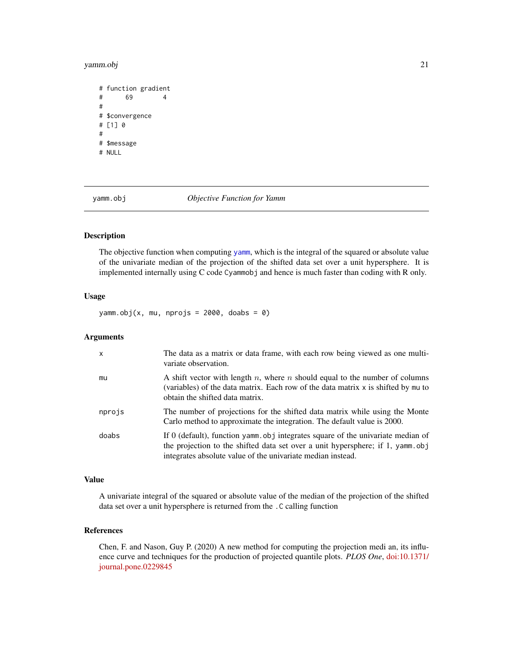#### <span id="page-20-0"></span>yamm.obj 21

```
# function gradient
# 69 4
#
# $convergence
# [1] 0
#
# $message
# NULL
```
<span id="page-20-1"></span>

yamm.obj *Objective Function for Yamm*

# Description

The objective function when computing [yamm](#page-18-1), which is the integral of the squared or absolute value of the univariate median of the projection of the shifted data set over a unit hypersphere. It is implemented internally using C code Cyammobj and hence is much faster than coding with R only.

#### Usage

 $yamm.obj(x, mu, nprojs = 2000, doabs = 0)$ 

# Arguments

| $\mathsf{x}$ | The data as a matrix or data frame, with each row being viewed as one multi-<br>variate observation.                                                                                                                             |
|--------------|----------------------------------------------------------------------------------------------------------------------------------------------------------------------------------------------------------------------------------|
| mu           | A shift vector with length n, where n should equal to the number of columns<br>(variables) of the data matrix. Each row of the data matrix x is shifted by mu to<br>obtain the shifted data matrix.                              |
| nprojs       | The number of projections for the shifted data matrix while using the Monte<br>Carlo method to approximate the integration. The default value is 2000.                                                                           |
| doabs        | If 0 (default), function yamm obj integrates square of the univariate median of<br>the projection to the shifted data set over a unit hypersphere; if 1, yamm.obj<br>integrates absolute value of the univariate median instead. |

# Value

A univariate integral of the squared or absolute value of the median of the projection of the shifted data set over a unit hypersphere is returned from the .C calling function

# References

Chen, F. and Nason, Guy P. (2020) A new method for computing the projection medi an, its influence curve and techniques for the production of projected quantile plots. *PLOS One*, [doi:10.1371/](https://doi.org/10.1371/journal.pone.0229845) [journal.pone.0229845](https://doi.org/10.1371/journal.pone.0229845)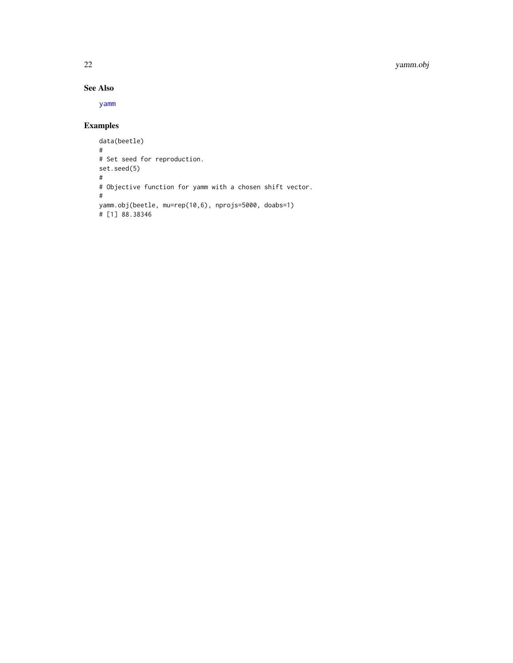# <span id="page-21-0"></span>22 yamm.obj

# See Also

[yamm](#page-18-1)

```
data(beetle)
#
# Set seed for reproduction.
set.seed(5)
#
# Objective function for yamm with a chosen shift vector.
#
yamm.obj(beetle, mu=rep(10,6), nprojs=5000, doabs=1)
# [1] 88.38346
```